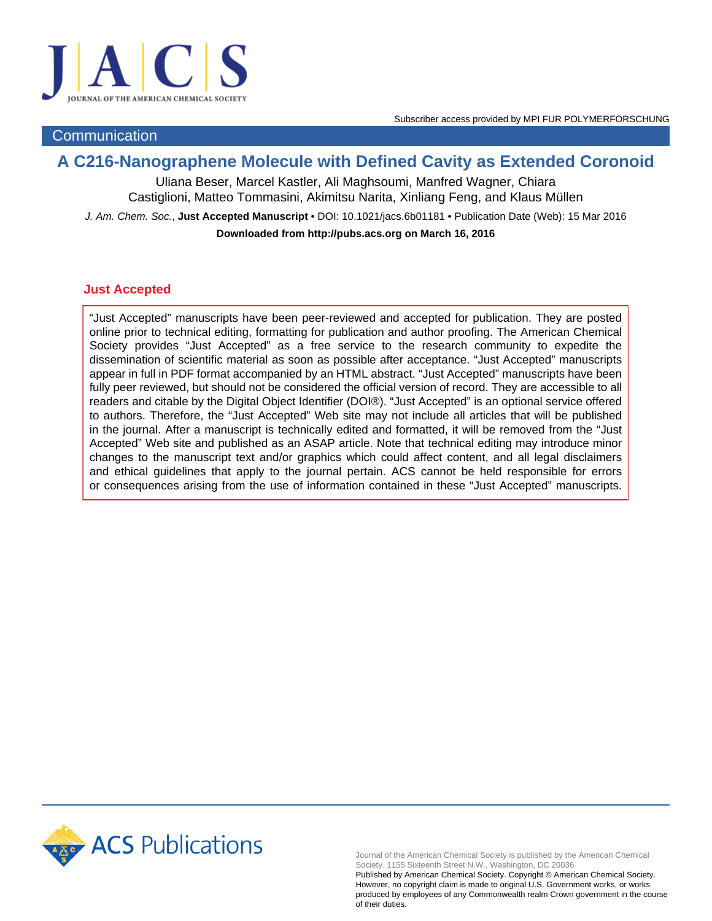

### **Communication**

# **A C216-Nanographene Molecule with Defined Cavity as Extended Coronoid**

Uliana Beser, Marcel Kastler, Ali Maghsoumi, Manfred Wagner, Chiara Castiglioni, Matteo Tommasini, Akimitsu Narita, Xinliang Feng, and Klaus Müllen J. Am. Chem. Soc., **Just Accepted Manuscript** • DOI: 10.1021/jacs.6b01181 • Publication Date (Web): 15 Mar 2016 **Downloaded from http://pubs.acs.org on March 16, 2016**

## **Just Accepted**

"Just Accepted" manuscripts have been peer-reviewed and accepted for publication. They are posted online prior to technical editing, formatting for publication and author proofing. The American Chemical Society provides "Just Accepted" as a free service to the research community to expedite the dissemination of scientific material as soon as possible after acceptance. "Just Accepted" manuscripts appear in full in PDF format accompanied by an HTML abstract. "Just Accepted" manuscripts have been fully peer reviewed, but should not be considered the official version of record. They are accessible to all readers and citable by the Digital Object Identifier (DOI®). "Just Accepted" is an optional service offered to authors. Therefore, the "Just Accepted" Web site may not include all articles that will be published in the journal. After a manuscript is technically edited and formatted, it will be removed from the "Just Accepted" Web site and published as an ASAP article. Note that technical editing may introduce minor changes to the manuscript text and/or graphics which could affect content, and all legal disclaimers and ethical guidelines that apply to the journal pertain. ACS cannot be held responsible for errors or consequences arising from the use of information contained in these "Just Accepted" manuscripts.



Journal of the American Chemical Society is published by the American Chemical Society. 1155 Sixteenth Street N.W., Washington, DC 20036 Published by American Chemical Society. Copyright © American Chemical Society.

However, no copyright claim is made to original U.S. Government works, or works produced by employees of any Commonwealth realm Crown government in the course of their duties.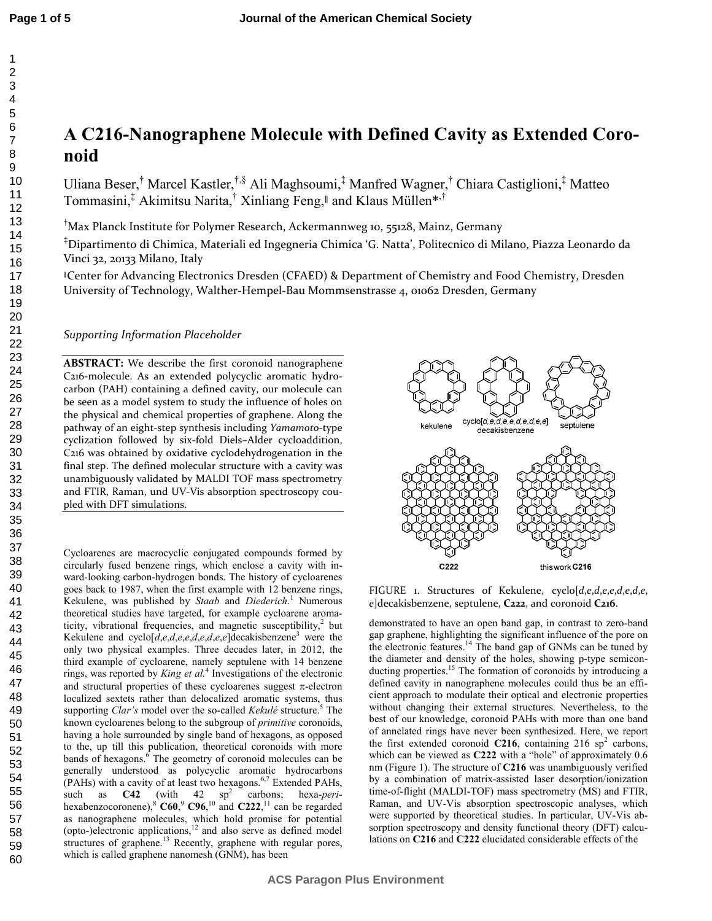# **A C216-Nanographene Molecule with Defined Cavity as Extended Coronoid**

Uliana Beser,<sup>†</sup> Marcel Kastler,<sup>†,§</sup> Ali Maghsoumi,<sup>‡</sup> Manfred Wagner,<sup>†</sup> Chiara Castiglioni,<sup>‡</sup> Matteo Tommasini,‡ Akimitsu Narita,† Xinliang Feng,<sup>∥</sup> and Klaus Müllen\*,†

†Max Planck Institute for Polymer Research, Ackermannweg 10, 55128, Mainz, Germany

‡Dipartimento di Chimica, Materiali ed Ingegneria Chimica 'G. Natta', Politecnico di Milano, Piazza Leonardo da Vinci 32, 20133 Milano, Italy

<sup>∥</sup>Center for Advancing Electronics Dresden (CFAED) & Department of Chemistry and Food Chemistry, Dresden University of Technology, Walther-Hempel-Bau Mommsenstrasse 4, 01062 Dresden, Germany

*Supporting Information Placeholder*

**ABSTRACT:** We describe the first coronoid nanographene C216-molecule. As an extended polycyclic aromatic hydrocarbon (PAH) containing a defined cavity, our molecule can be seen as a model system to study the influence of holes on the physical and chemical properties of graphene. Along the pathway of an eight-step synthesis including *Yamamoto*-type cyclization followed by six-fold Diels–Alder cycloaddition, C216 was obtained by oxidative cyclodehydrogenation in the final step. The defined molecular structure with a cavity was unambiguously validated by MALDI TOF mass spectrometry and FTIR, Raman, und UV-Vis absorption spectroscopy coupled with DFT simulations.

Cycloarenes are macrocyclic conjugated compounds formed by circularly fused benzene rings, which enclose a cavity with inward-looking carbon-hydrogen bonds. The history of cycloarenes goes back to 1987, when the first example with 12 benzene rings, Kekulene, was published by *Staab* and *Diederich*. 1 Numerous theoretical studies have targeted, for example cycloarene aromaticity, vibrational frequencies, and magnetic susceptibility,<sup>2</sup> but Kekulene and cyclo[ $d$ ,*e*, $d$ ,*e*, $e$ , $d$ , $e$ , $e$ , $d$ , $e$ , $e$ ]decakisbenzene<sup>3</sup> were the only two physical examples. Three decades later, in 2012, the third example of cycloarene, namely septulene with 14 benzene rings, was reported by *King et al.*<sup>4</sup> Investigations of the electronic and structural properties of these cycloarenes suggest  $\pi$ -electron localized sextets rather than delocalized aromatic systems, thus supporting *Clar's* model over the so-called *Kekulé* structure.<sup>5</sup> The known cycloarenes belong to the subgroup of *primitive* coronoids, having a hole surrounded by single band of hexagons, as opposed to the, up till this publication, theoretical coronoids with more bands of hexagons.<sup>6</sup> The geometry of coronoid molecules can be generally understood as polycyclic aromatic hydrocarbons (PAHs) with a cavity of at least two hexagons.<sup>6,7</sup> Extended PAHs, such as  $C42$  (with  $42$   $sp^2$  carbons; hexa-*peri*hexabenzocoronene),  ${}^{8}$  C60, ${}^{9}$  C96, ${}^{10}$  and C222, ${}^{11}$  can be regarded as nanographene molecules, which hold promise for potential (opto-)electronic applications,<sup>12</sup> and also serve as defined model structures of graphene.<sup>13</sup> Recently, graphene with regular pores, which is called graphene nanomesh (GNM), has been



FIGURE 1. Structures of Kekulene, cyclo[*d*,*e*,*d*,*e*,*e*,*d*,*e*,*d*,*e*, *e*]decakisbenzene, septulene, **C222**, and coronoid **C216**.

demonstrated to have an open band gap, in contrast to zero-band gap graphene, highlighting the significant influence of the pore on the electronic features.<sup>14</sup> The band gap of GNMs can be tuned by the diameter and density of the holes, showing p-type semiconducting properties.<sup>15</sup> The formation of coronoids by introducing a defined cavity in nanographene molecules could thus be an efficient approach to modulate their optical and electronic properties without changing their external structures. Nevertheless, to the best of our knowledge, coronoid PAHs with more than one band of annelated rings have never been synthesized. Here, we report the first extended coronoid  $C216$ , containing 216 sp<sup>2</sup> carbons, which can be viewed as **C222** with a "hole" of approximately 0.6 nm (Figure 1). The structure of **C216** was unambiguously verified by a combination of matrix-assisted laser desorption/ionization time-of-flight (MALDI-TOF) mass spectrometry (MS) and FTIR, Raman, and UV-Vis absorption spectroscopic analyses, which were supported by theoretical studies. In particular, UV-Vis absorption spectroscopy and density functional theory (DFT) calculations on **C216** and **C222** elucidated considerable effects of the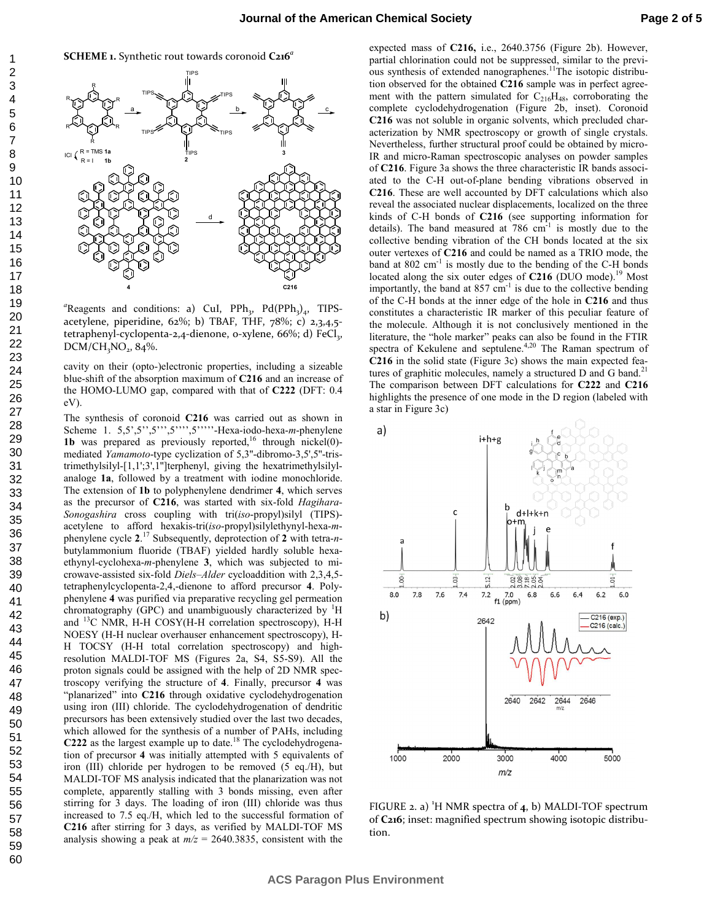



<sup>a</sup>Reagents and conditions: a) CuI,  $PPh_3$ ,  $Pd(PPh_3)$ <sub>4</sub>, TIPSacetylene, piperidine,  $62\%$ ; b) TBAF, THF,  $78\%$ ; c)  $2,3,4,5$ tetraphenyl-cyclopenta-2,4-dienone, o-xylene, 66%; d) FeCl<sub>3</sub>,  $DCM/CH_3NO_2$ ,  $84\%$ .

cavity on their (opto-)electronic properties, including a sizeable blue-shift of the absorption maximum of **C216** and an increase of the HOMO-LUMO gap, compared with that of **C222** (DFT: 0.4 eV).

The synthesis of coronoid **C216** was carried out as shown in Scheme 1. 5,5',5'',5''',5'''',5'''''-Hexa-iodo-hexa-*m*-phenylene **1b** was prepared as previously reported,<sup>16</sup> through nickel $(0)$ mediated *Yamamoto*-type cyclization of 5,3''-dibromo-3,5',5''-tristrimethylsilyl-[1,1';3',1'']terphenyl, giving the hexatrimethylsilylanaloge **1a**, followed by a treatment with iodine monochloride. The extension of **1b** to polyphenylene dendrimer **4**, which serves as the precursor of **C216**, was started with six-fold *Hagihara-Sonogashira* cross coupling with tri(*iso*-propyl)silyl (TIPS) acetylene to afford hexakis-tri(*iso*-propyl)silylethynyl-hexa-*m*phenylene cycle **2**. <sup>17</sup> Subsequently, deprotection of **2** with tetra-*n*butylammonium fluoride (TBAF) yielded hardly soluble hexaethynyl-cyclohexa-*m*-phenylene **3**, which was subjected to microwave-assisted six-fold *Diels–Alder* cycloaddition with 2,3,4,5 tetraphenylcyclopenta-2,4,-dienone to afford precursor **4**. Polyphenylene **4** was purified via preparative recycling gel permeation chromatography (GPC) and unambiguously characterized by  ${}^{1}H$ and <sup>13</sup>C NMR, H-H COSY(H-H correlation spectroscopy), H-H NOESY (H-H nuclear overhauser enhancement spectroscopy), H-H TOCSY (H-H total correlation spectroscopy) and highresolution MALDI-TOF MS (Figures 2a, S4, S5-S9). All the proton signals could be assigned with the help of 2D NMR spectroscopy verifying the structure of **4**. Finally, precursor **4** was "planarized" into **C216** through oxidative cyclodehydrogenation using iron (III) chloride. The cyclodehydrogenation of dendritic precursors has been extensively studied over the last two decades, which allowed for the synthesis of a number of PAHs, including  $C222$  as the largest example up to date.<sup>18</sup> The cyclodehydrogenation of precursor **4** was initially attempted with 5 equivalents of iron (III) chloride per hydrogen to be removed (5 eq./H), but MALDI-TOF MS analysis indicated that the planarization was not complete, apparently stalling with 3 bonds missing, even after stirring for 3 days. The loading of iron (III) chloride was thus increased to 7.5 eq./H, which led to the successful formation of **C216** after stirring for 3 days, as verified by MALDI-TOF MS analysis showing a peak at  $m/z = 2640.3835$ , consistent with the

expected mass of **C216,** i.e., 2640.3756 (Figure 2b). However, partial chlorination could not be suppressed, similar to the previous synthesis of extended nanographenes.<sup>11</sup>The isotopic distribution observed for the obtained **C216** sample was in perfect agreement with the pattern simulated for  $C_{216}H_{48}$ , corroborating the complete cyclodehydrogenation (Figure 2b, inset). Coronoid **C216** was not soluble in organic solvents, which precluded characterization by NMR spectroscopy or growth of single crystals. Nevertheless, further structural proof could be obtained by micro-IR and micro-Raman spectroscopic analyses on powder samples of **C216**. Figure 3a shows the three characteristic IR bands associated to the C-H out-of-plane bending vibrations observed in **C216**. These are well accounted by DFT calculations which also reveal the associated nuclear displacements, localized on the three kinds of C-H bonds of **C216** (see supporting information for details). The band measured at  $786 \text{ cm}^{-1}$  is mostly due to the collective bending vibration of the CH bonds located at the six outer vertexes of **C216** and could be named as a TRIO mode, the band at  $802 \text{ cm}^{-1}$  is mostly due to the bending of the C-H bonds located along the six outer edges of **C216** (DUO mode).<sup>19</sup> Most importantly, the band at  $857 \text{ cm}^{-1}$  is due to the collective bending of the C-H bonds at the inner edge of the hole in **C216** and thus constitutes a characteristic IR marker of this peculiar feature of the molecule. Although it is not conclusively mentioned in the literature, the "hole marker" peaks can also be found in the FTIR spectra of Kekulene and septulene.<sup>4,20</sup> The Raman spectrum of **C216** in the solid state (Figure 3c) shows the main expected features of graphitic molecules, namely a structured D and G band.<sup>21</sup> The comparison between DFT calculations for **C222** and **C216** highlights the presence of one mode in the D region (labeled with a star in Figure 3c)



FIGURE 2. a) <sup>1</sup>H NMR spectra of **4**, b) MALDI-TOF spectrum of **C216**; inset: magnified spectrum showing isotopic distribution.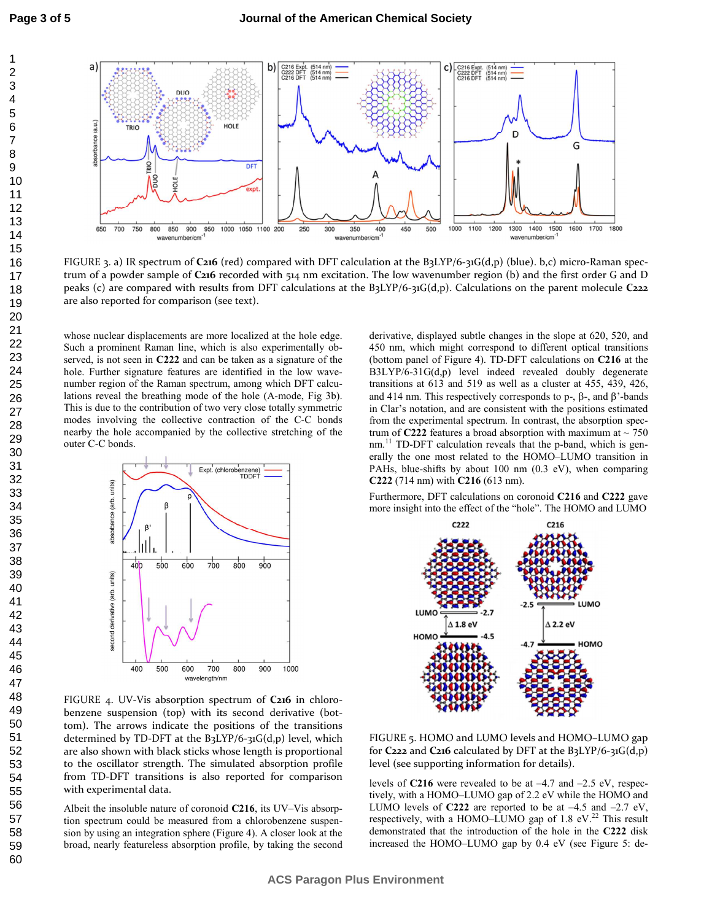

FIGURE 3. a) IR spectrum of **C216** (red) compared with DFT calculation at the B3LYP/6-31G(d,p) (blue). b,c) micro-Raman spectrum of a powder sample of **C216** recorded with 514 nm excitation. The low wavenumber region (b) and the first order G and D peaks (c) are compared with results from DFT calculations at the B3LYP/6-31G(d,p). Calculations on the parent molecule **C222** are also reported for comparison (see text).

**ACS Paragon Plus Environment**

whose nuclear displacements are more localized at the hole edge. Such a prominent Raman line, which is also experimentally observed, is not seen in **C222** and can be taken as a signature of the hole. Further signature features are identified in the low wavenumber region of the Raman spectrum, among which DFT calculations reveal the breathing mode of the hole (A-mode, Fig 3b). This is due to the contribution of two very close totally symmetric modes involving the collective contraction of the C-C bonds nearby the hole accompanied by the collective stretching of the outer C-C bonds.



FIGURE 4. UV-Vis absorption spectrum of **C216** in chlorobenzene suspension (top) with its second derivative (bottom). The arrows indicate the positions of the transitions determined by TD-DFT at the B3LYP/6-31G(d,p) level, which are also shown with black sticks whose length is proportional to the oscillator strength. The simulated absorption profile from TD-DFT transitions is also reported for comparison with experimental data.

Albeit the insoluble nature of coronoid **C216**, its UV–Vis absorption spectrum could be measured from a chlorobenzene suspension by using an integration sphere (Figure 4). A closer look at the broad, nearly featureless absorption profile, by taking the second

derivative, displayed subtle changes in the slope at 620, 520, and 450 nm, which might correspond to different optical transitions (bottom panel of Figure 4). TD-DFT calculations on **C216** at the B3LYP/6-31G(d,p) level indeed revealed doubly degenerate transitions at 613 and 519 as well as a cluster at 455, 439, 426, and 414 nm. This respectively corresponds to p-,  $β$ -, and  $β$ '-bands in Clar's notation, and are consistent with the positions estimated from the experimental spectrum. In contrast, the absorption spectrum of  $C222$  features a broad absorption with maximum at  $\sim$  750 nm.<sup>11</sup> TD-DFT calculation reveals that the p-band, which is generally the one most related to the HOMO–LUMO transition in PAHs, blue-shifts by about 100 nm (0.3 eV), when comparing **C222** (714 nm) with **C216** (613 nm).

Furthermore, DFT calculations on coronoid **C216** and **C222** gave more insight into the effect of the "hole". The HOMO and LUMO



FIGURE 5. HOMO and LUMO levels and HOMO–LUMO gap for  $C_{222}$  and  $C_{216}$  calculated by DFT at the  $B_3LYP/6-31G(d,p)$ level (see supporting information for details).

levels of **C216** were revealed to be at –4.7 and –2.5 eV, respectively, with a HOMO–LUMO gap of 2.2 eV while the HOMO and LUMO levels of **C222** are reported to be at –4.5 and –2.7 eV, respectively, with a HOMO–LUMO gap of 1.8  $eV<sup>22</sup>$ . This result demonstrated that the introduction of the hole in the **C222** disk increased the HOMO–LUMO gap by 0.4 eV (see Figure 5: de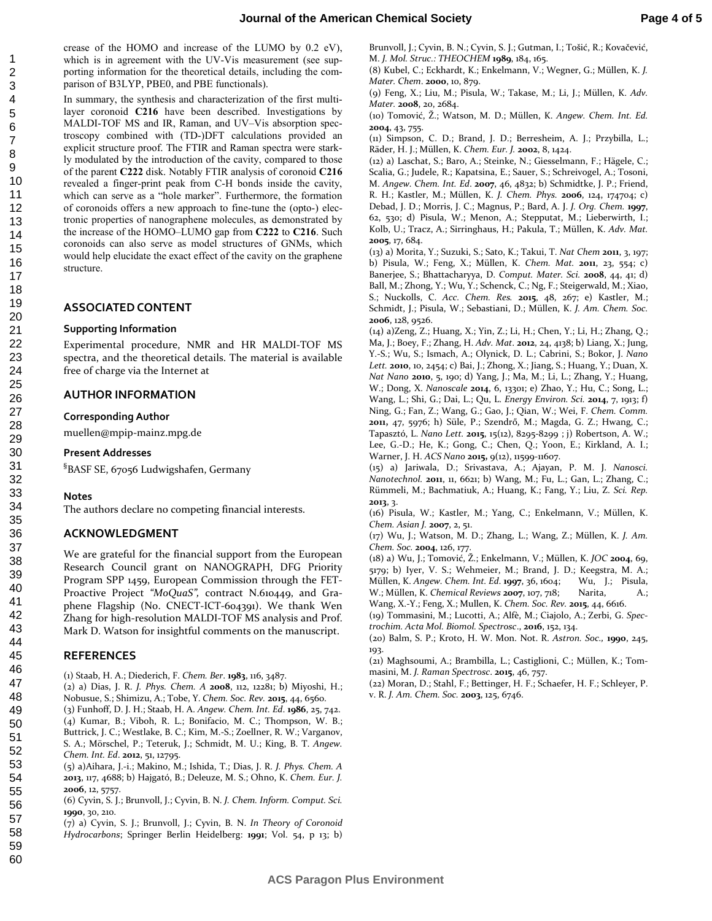crease of the HOMO and increase of the LUMO by 0.2 eV), which is in agreement with the UV-Vis measurement (see supporting information for the theoretical details, including the comparison of B3LYP, PBE0, and PBE functionals).

In summary, the synthesis and characterization of the first multilayer coronoid **C216** have been described. Investigations by MALDI-TOF MS and IR, Raman, and UV–Vis absorption spectroscopy combined with (TD-)DFT calculations provided an explicit structure proof. The FTIR and Raman spectra were starkly modulated by the introduction of the cavity, compared to those of the parent **C222** disk. Notably FTIR analysis of coronoid **C216** revealed a finger-print peak from C-H bonds inside the cavity, which can serve as a "hole marker". Furthermore, the formation of coronoids offers a new approach to fine-tune the (opto-) electronic properties of nanographene molecules, as demonstrated by the increase of the HOMO–LUMO gap from **C222** to **C216**. Such coronoids can also serve as model structures of GNMs, which would help elucidate the exact effect of the cavity on the graphene structure.

#### **ASSOCIATED CONTENT**

#### **Supporting Information**

Experimental procedure, NMR and HR MALDI-TOF MS spectra, and the theoretical details. The material is available free of charge via the Internet at

#### **AUTHOR INFORMATION**

#### **Corresponding Author**

muellen@mpip-mainz.mpg.de

#### **Present Addresses**

§ BASF SE, 67056 Ludwigshafen, Germany

#### **Notes**

The authors declare no competing financial interests.

#### **ACKNOWLEDGMENT**

We are grateful for the financial support from the European Research Council grant on NANOGRAPH, DFG Priority Program SPP 1459, European Commission through the FET-Proactive Project *"MoQuaS",* contract N.610449, and Graphene Flagship (No. CNECT-ICT-604391). We thank Wen Zhang for high-resolution MALDI-TOF MS analysis and Prof. Mark D. Watson for insightful comments on the manuscript.

#### **REFERENCES**

- (1) Staab, H. A.; Diederich, F. *Chem. Ber*. **1983**, 116, 3487.
- (2) a) Dias, J. R. *J. Phys. Chem. A* **2008**, 112, 12281; b) Miyoshi, H.; Nobusue, S.; Shimizu, A.; Tobe, Y. *Chem. Soc. Rev.* **2015**, 44, 6560.
- (3) Funhoff, D. J. H.; Staab, H. A. *Angew. Chem. Int. Ed*. **1986**, 25, 742. (4) Kumar, B.; Viboh, R. L.; Bonifacio, M. C.; Thompson, W. B.;
- Buttrick, J. C.; Westlake, B. C.; Kim, M.-S.; Zoellner, R. W.; Varganov, S. A.; Mörschel, P.; Teteruk, J.; Schmidt, M. U.; King, B. T. *Angew. Chem. Int. Ed*. **2012**, 51, 12795.
- (5) a)Aihara, J.-i.; Makino, M.; Ishida, T.; Dias, J. R. *J. Phys. Chem. A* **2013**, 117, 4688; b) Hajgató, B.; Deleuze, M. S.; Ohno, K. *Chem. Eur. J.* **2006**, 12, 5757.
- (6) Cyvin, S. J.; Brunvoll, J.; Cyvin, B. N. *J. Chem. Inform. Comput. Sci.* **1990**, 30, 210.
- (7) a) Cyvin, S. J.; Brunvoll, J.; Cyvin, B. N. *In Theory of Coronoid Hydrocarbons*; Springer Berlin Heidelberg: **1991**; Vol. 54, p 13; b)

Brunvoll, J.; Cyvin, B. N.; Cyvin, S. J.; Gutman, I.; Tošić, R.; Kovačević, M. *J. Mol. Struc.: THEOCHEM* **1989**, 184, 165.

- (8) Kubel, C.; Eckhardt, K.; Enkelmann, V.; Wegner, G.; Müllen, K. *J. Mater. Chem*. **2000**, 10, 879.
- (9) Feng, X.; Liu, M.; Pisula, W.; Takase, M.; Li, J.; Müllen, K. *Adv. Mater.* **2008**, 20, 2684.
- (10) Tomović, Ž.; Watson, M. D.; Müllen, K. *Angew. Chem. Int. Ed.* **2004**, 43, 755.
- (11) Simpson, C. D.; Brand, J. D.; Berresheim, A. J.; Przybilla, L.; Räder, H. J.; Müllen, K. *Chem. Eur. J.* **2002**, 8, 1424.

(12) a) Laschat, S.; Baro, A.; Steinke, N.; Giesselmann, F.; Hägele, C.; Scalia, G.; Judele, R.; Kapatsina, E.; Sauer, S.; Schreivogel, A.; Tosoni, M. *Angew. Chem. Int. Ed*. **2007**, 46, 4832; b) Schmidtke, J. P.; Friend, R. H.; Kastler, M.; Müllen, K. *J. Chem. Phys.* **2006**, 124, 174704; c) Debad, J. D.; Morris, J. C.; Magnus, P.; Bard, A. J. *J. Org. Chem.* **1997**, 62, 530; d) Pisula, W.; Menon, A.; Stepputat, M.; Lieberwirth, I.; Kolb, U.; Tracz, A.; Sirringhaus, H.; Pakula, T.; Müllen, K. *Adv. Mat.* **2005**, 17, 684.

- (13) a) Morita, Y.; Suzuki, S.; Sato, K.; Takui, T. *Nat Chem* **2011**, 3, 197; b) Pisula, W.; Feng, X.; Müllen, K. *Chem. Mat.* **2011**, 23, 554; c) Banerjee, S.; Bhattacharyya, D. *Comput. Mater. Sci.* **2008**, 44, 41; d) Ball, M.; Zhong, Y.; Wu, Y.; Schenck, C.; Ng, F.; Steigerwald, M.; Xiao, S.; Nuckolls, C. *Acc. Chem. Res.* **2015**, 48, 267; e) Kastler, M.; Schmidt, J.; Pisula, W.; Sebastiani, D.; Müllen, K. *J. Am. Chem. Soc.*  **2006**, 128, 9526.
- (14) a)Zeng, Z.; Huang, X.; Yin, Z.; Li, H.; Chen, Y.; Li, H.; Zhang, Q.; Ma, J.; Boey, F.; Zhang, H. *Adv. Mat*. **2012**, 24, 4138; b) Liang, X.; Jung, Y.-S.; Wu, S.; Ismach, A.; Olynick, D. L.; Cabrini, S.; Bokor, J. *Nano Lett.* **2010**, 10, 2454; c) Bai, J.; Zhong, X.; Jiang, S.; Huang, Y.; Duan, X. *Nat Nano* **2010**, 5, 190; d) Yang, J.; Ma, M.; Li, L.; Zhang, Y.; Huang, W.; Dong, X. *Nanoscale* **2014**, 6, 13301; e) Zhao, Y.; Hu, C.; Song, L.; Wang, L.; Shi, G.; Dai, L.; Qu, L. *Energy Environ. Sci.* **2014**, 7, 1913; f) Ning, G.; Fan, Z.; Wang, G.; Gao, J.; Qian, W.; Wei, F. *Chem. Comm.* **2011,** 47, 5976; h) Süle, P.; Szendrő, M.; Magda, G. Z.; Hwang, C.; Tapasztó, L. *Nano Lett.* **2015**, 15(12), 8295-8299 ; j) Robertson, A. W.; Lee, G.-D.; He, K.; Gong, C.; Chen, Q.; Yoon, E.; Kirkland, A. I.; Warner, J. H. *ACS Nano* **2015,** 9(12), 11599-11607.
- (15) a) Jariwala, D.; Srivastava, A.; Ajayan, P. M. J. *Nanosci. Nanotechnol.* **2011**, 11, 6621; b) Wang, M.; Fu, L.; Gan, L.; Zhang, C.; Rümmeli, M.; Bachmatiuk, A.; Huang, K.; Fang, Y.; Liu, Z. *Sci. Rep.* **2013**, 3.
- (16) Pisula, W.; Kastler, M.; Yang, C.; Enkelmann, V.; Müllen, K. *Chem. Asian J.* **2007**, 2, 51.

(17) Wu, J.; Watson, M. D.; Zhang, L.; Wang, Z.; Müllen, K. *J. Am. Chem. Soc.* **2004**, 126, 177.

(18) a) Wu, J.; Tomović, Ž.; Enkelmann, V.; Müllen, K. *JOC* **2004**, 69, 5179; b) Iyer, V. S.; Wehmeier, M.; Brand, J. D.; Keegstra, M. A.; Müllen, K. *Angew. Chem. Int. Ed*. **1997**, 36, 1604; Wu, J.; Pisula, W.; Müllen, K. *Chemical Reviews* **2007**, 107, 718; Narita, A.; Wang, X.-Y.; Feng, X.; Mullen, K. *Chem. Soc. Rev.* **2015**, 44, 6616.

(19) Tommasini, M.; Lucotti, A.; Alfè, M.; Ciajolo, A.; Zerbi, G. *Spectrochim. Acta Mol. Biomol. Spectrosc*., **2016**, 152, 134.

- (20) Balm, S. P.; Kroto, H. W. Mon. Not. R. *Astron. Soc.,* **1990**, 245, 193.
- (21) Maghsoumi, A.; Brambilla, L.; Castiglioni, C.; Müllen, K.; Tommasini, M. *J. Raman Spectrosc*. **2015**, 46, 757.
- (22) Moran, D.; Stahl, F.; Bettinger, H. F.; Schaefer, H. F.; Schleyer, P. v. R. *J. Am. Chem. Soc.* **2003**, 125, 6746.